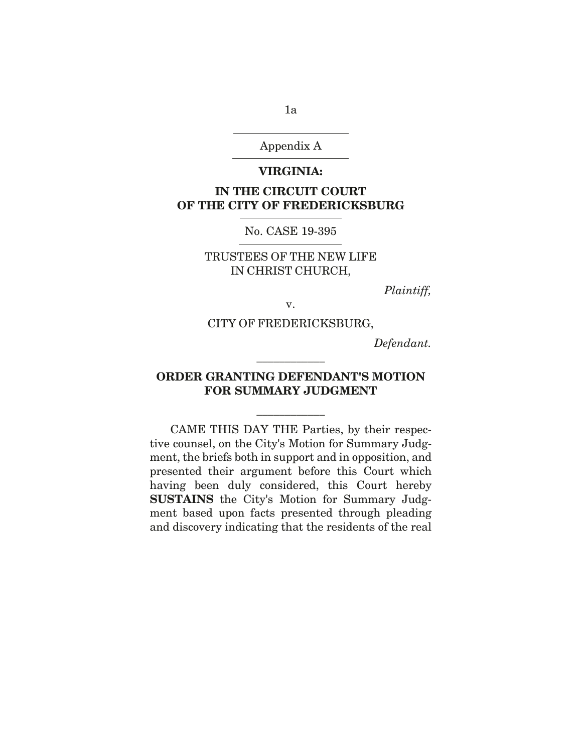Appendix A

#### **VIRGINIA:**

# **IN THE CIRCUIT COURT OF THE CITY OF FREDERICKSBURG**

### No. CASE 19-395

## TRUSTEES OF THE NEW LIFE IN CHRIST CHURCH,

*Plaintiff,* 

v.

### CITY OF FREDERICKSBURG,

*Defendant.* 

# **ORDER GRANTING DEFENDANT'S MOTION FOR SUMMARY JUDGMENT**

\_\_\_\_\_\_\_\_\_\_\_\_

\_\_\_\_\_\_\_\_\_\_\_\_

CAME THIS DAY THE Parties, by their respective counsel, on the City's Motion for Summary Judgment, the briefs both in support and in opposition, and presented their argument before this Court which having been duly considered, this Court hereby **SUSTAINS** the City's Motion for Summary Judgment based upon facts presented through pleading and discovery indicating that the residents of the real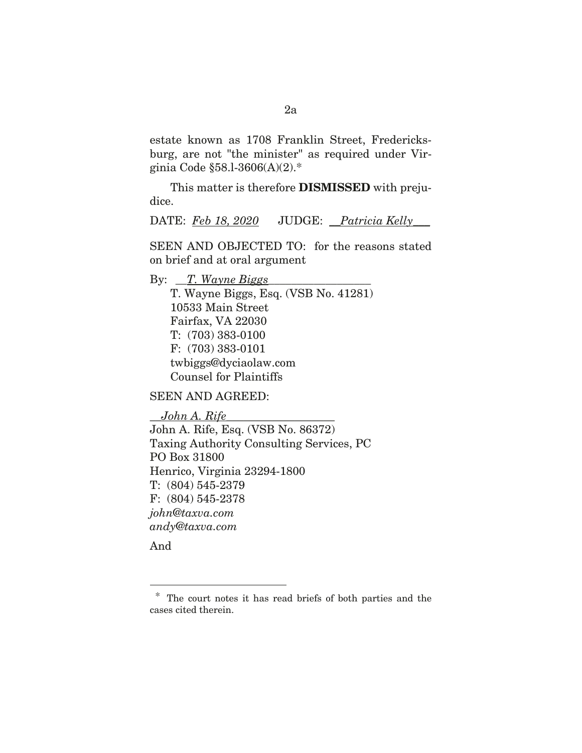estate known as 1708 Franklin Street, Fredericksburg, are not "the minister" as required under Virginia Code §58.l-3606(A)(2).\*

This matter is therefore **DISMISSED** with prejudice.

DATE: *Feb 18, 2020* JUDGE: \_\_*Patricia Kelly*\_\_\_

SEEN AND OBJECTED TO: for the reasons stated on brief and at oral argument

By: <u>T. Wayne Biggs</u>

T. Wayne Biggs, Esq. (VSB No. 41281) 10533 Main Street Fairfax, VA 22030 T: (703) 383-0100 F: (703) 383-0101 twbiggs@dyciaolaw.com Counsel for Plaintiffs

SEEN AND AGREED:

\_\_*John A. Rife*\_\_\_\_\_\_\_\_\_\_\_\_\_\_\_\_\_\_\_ John A. Rife, Esq. (VSB No. 86372) Taxing Authority Consulting Services, PC PO Box 31800 Henrico, Virginia 23294-1800 T: (804) 545-2379 F: (804) 545-2378 *john@taxva.com andy@taxva.com* 

And

<sup>\*</sup> The court notes it has read briefs of both parties and the cases cited therein.